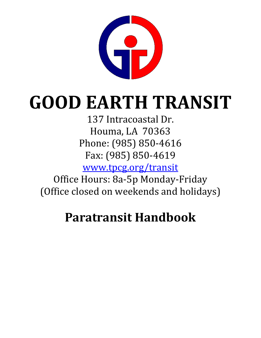

# **GOOD EARTH TRANSIT**

137 Intracoastal Dr. Houma, LA 70363 Phone: (985) 850-4616 Fax: (985) 850-4619

www.tpcg.org/transit

Office Hours: 8a-5p Monday-Friday (Office closed on weekends and holidays)

# **Paratransit Handbook**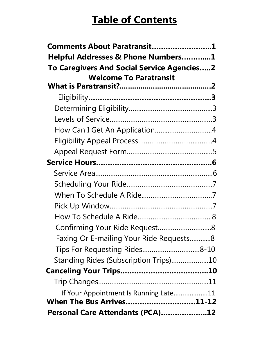# **Table of Contents**

| Comments About Paratransit1                |  |
|--------------------------------------------|--|
| Helpful Addresses & Phone Numbers1         |  |
| To Caregivers And Social Service Agencies2 |  |
| <b>Welcome To Paratransit</b>              |  |
|                                            |  |
|                                            |  |
|                                            |  |
|                                            |  |
| How Can I Get An Application4              |  |
|                                            |  |
|                                            |  |
|                                            |  |
|                                            |  |
|                                            |  |
|                                            |  |
|                                            |  |
|                                            |  |
| Confirming Your Ride Request8              |  |
| Faxing Or E-mailing Your Ride Requests8    |  |
|                                            |  |
| Standing Rides (Subscription Trips)10      |  |
|                                            |  |
|                                            |  |
| If Your Appointment Is Running Late11      |  |
| When The Bus Arrives11-12                  |  |
| Personal Care Attendants (PCA)12           |  |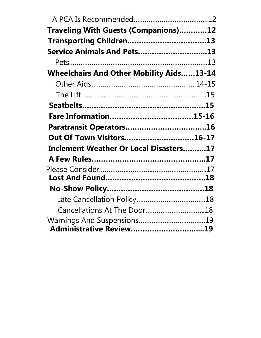| Traveling With Guests (Companions)12            |  |
|-------------------------------------------------|--|
| Transporting Children13                         |  |
| Service Animals And Pets13                      |  |
|                                                 |  |
| <b>Wheelchairs And Other Mobility Aids13-14</b> |  |
|                                                 |  |
|                                                 |  |
|                                                 |  |
|                                                 |  |
|                                                 |  |
| Out Of Town Visitors16-17                       |  |
| Inclement Weather Or Local Disasters17          |  |
|                                                 |  |
|                                                 |  |
|                                                 |  |
|                                                 |  |
|                                                 |  |
| Cancellations At The Door18                     |  |
|                                                 |  |
|                                                 |  |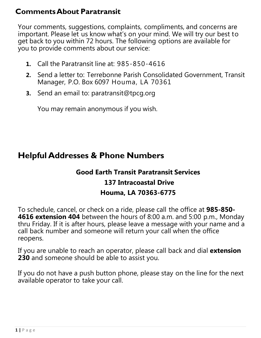#### **CommentsAbout Paratransit**

Your comments, suggestions, complaints, compliments, and concerns are important. Please let us know what's on your mind. We will try our best to get back to you within 72 hours. The following options are available for you to provide comments about our service:

- **1.** Call the Paratransit line at: 985-850-4616
- **2.** Send a letter to: Terrebonne Parish Consolidated Government, Transit Manager, P.O. Box 6097 Houma, LA 70361
- **3.** Send an email to: paratransit@tpcg.org

You may remain anonymous if you wish.

# <span id="page-3-0"></span>**Helpful Addresses & Phone Numbers**

#### **Good Earth Transit Paratransit Services 137 Intracoastal Drive Houma, LA 70363-6775**

To schedule, cancel, or check on a ride, please call the office at **985-850- 4616 extension 404** between the hours of 8:00 a.m. and 5:00 p.m., Monday thru Friday. If it is after hours, please leave a message with your name and a call back number and someone will return your call when the office reopens.

If you are unable to reach an operator, please call back and dial **extension 230** and someone should be able to assist you.

<span id="page-3-1"></span>If you do not have a push button phone, please stay on the line for the next available operator to take your call.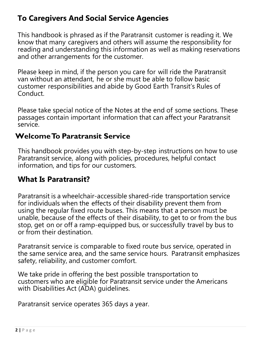#### **To Caregivers And Social Service Agencies**

This handbook is phrased as if the Paratransit customer is reading it. We know that many caregivers and others will assume the responsibility for reading and understanding this information as well as making reservations and other arrangements for the customer.

Please keep in mind, if the person you care for will ride the Paratransit van without an attendant, he or she must be able to follow basic customer responsibilities and abide by Good Earth Transit's Rules of Conduct.

Please take special notice of the Notes at the end of some sections. These passages contain important information that can affect your Paratransit service.

#### <span id="page-4-0"></span>**WelcomeTo Paratransit Service**

This handbook provides you with step-by-step instructions on how to use Paratransit service, along with policies, procedures, helpful contact information, and tips for our customers.

#### **What Is Paratransit?**

Paratransit is a wheelchair-accessible shared-ride transportation service for individuals when the effects of their disability prevent them from using the regular fixed route buses. This means that a person must be unable, because of the effects of their disability, to get to or from the bus stop, get on or off a ramp-equipped bus, or successfully travel by bus to or from their destination.

Paratransit service is comparable to fixed route bus service, operated in the same service area, and the same service hours. Paratransit emphasizes safety, reliability, and customer comfort.

<span id="page-4-1"></span>We take pride in offering the best possible transportation to customers who are eligible for Paratransit service under the Americans with Disabilities Act (ADA) guidelines.

Paratransit service operates 365 days a year.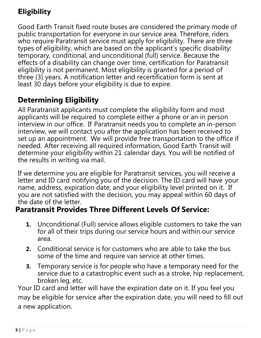# **Eligibility**

Good Earth Transit fixed route buses are considered the primary mode of public transportation for everyone in our service area. Therefore, riders who require Paratransit service must apply for eligibility. There are three types of eligibility, which are based on the applicant's specific disability: temporary, conditional, and unconditional (full) service. Because the effects of a disability can change over time, certification for Paratransit eligibility is not permanent. Most eligibility is granted for a period of three (3) years. A notification letter and recertification form is sent at least 30 days before your eligibility is due to expire.

#### **Determining Eligibility**

All Paratransit applicants must complete the eligibility form and most applicants will be required to complete either a phone or an in person interview in our office. If Paratransit needs you to complete an in-person interview, we will contact you after the application has been received to set up an appointment. We will provide free transportation to the office if needed. After receiving all required information, Good Earth Transit will determine your eligibility within 21 calendar days. You will be notified of the results in writing via mail.

<span id="page-5-1"></span>If we determine you are eligible for Paratransit services, you will receive a letter and ID card notifying you of the decision. The ID card will have your name, address, expiration date, and your eligibility level printed on it. If you are not satisfied with the decision, you may appeal within 60 days of the date of the letter.

#### **Paratransit Provides Three Different Levels Of Service:**

- **1.** Unconditional (Full) service allows eligible customers to take the van for all of their trips during our service hours and within our service area.
- **2.** Conditional service is for customers who are able to take the bus some of the time and require van service at other times.
- **3.** Temporary service is for people who have a temporary need for the service due to a catastrophic event such as a stroke, hip replacement, broken leg, etc.

<span id="page-5-0"></span>Your ID card and letter will have the expiration date on it. If you feel you may be eligible for service after the expiration date, you will need to fill out a new application.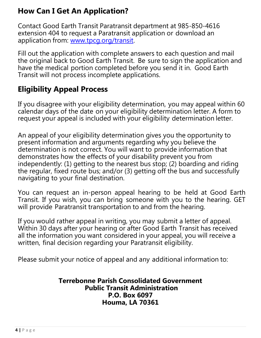#### **How Can I Get An Application?**

Contact Good Earth Transit Paratransit department at 985-850-4616 extension 404 to request a Paratransit application or download an application from: www.tpcg.org/transit.

Fill out the application with complete answers to each question and mail the original back to Good Earth Transit. Be sure to sign the application and have the medical portion completed before you send it in. Good Earth Transit will not process incomplete applications.

#### **Eligibility Appeal Process**

If you disagree with your eligibility determination, you may appeal within 60 calendar days of the date on your eligibility determination letter. A form to request your appeal is included with your eligibility determination letter.

An appeal of your eligibility determination gives you the opportunity to present information and arguments regarding why you believe the determination is not correct. You will want to provide information that demonstrates how the effects of your disability prevent you from independently: (1) getting to the nearest bus stop; (2) boarding and riding the regular, fixed route bus; and/or (3) getting off the bus and successfully navigating to your final destination.

You can request an in-person appeal hearing to be held at Good Earth Transit. If you wish, you can bring someone with you to the hearing. GET will provide Paratransit transportation to and from the hearing.

If you would rather appeal in writing, you may submit a letter of appeal. Within 30 days after your hearing or after Good Earth Transit has received all the information you want considered in your appeal, you will receive a written, final decision regarding your Paratransit eligibility.

Please submit your notice of appeal and any additional information to:

**Terrebonne Parish Consolidated Government Public Transit Administration P.O. Box 6097 Houma, LA 70361**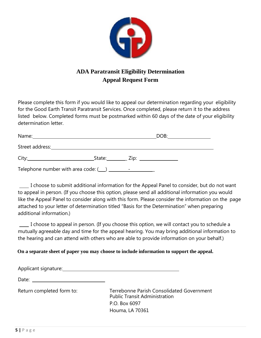

#### **ADA Paratransit Eligibility Determination Appeal Request Form**

Please complete this form if you would like to appeal our determination regarding your eligibility for the Good Earth Transit Paratransit Services. Once completed, please return it to the address listed below. Completed forms must be postmarked within 60 days of the date of your eligibility determination letter.

|                                                                                                                                                                                                                                |                  | DOB: |  |
|--------------------------------------------------------------------------------------------------------------------------------------------------------------------------------------------------------------------------------|------------------|------|--|
| Street address: and the state of the state of the state of the state of the state of the state of the state of the state of the state of the state of the state of the state of the state of the state of the state of the sta |                  |      |  |
|                                                                                                                                                                                                                                | State: Zip: Zip: |      |  |
|                                                                                                                                                                                                                                |                  |      |  |

I choose to submit additional information for the Appeal Panel to consider, but do not want to appeal in person. (If you choose this option, please send all additional information you would like the Appeal Panel to consider along with this form. Please consider the information on the page attached to your letter of determination titled "Basis for the Determination" when preparing additional information.)

I choose to appeal in person. (If you choose this option, we will contact you to schedule a mutually agreeable day and time for the appeal hearing. You may bring additional information to the hearing and can attend with others who are able to provide information on your behalf.)

**On a separate sheet of paper you may choose to include information to support the appeal.**

Applicant signature:

Date:

Return completed form to: Terrebonne Parish Consolidated Government Public Transit Administration P.O. Box 6097 Houma, LA 70361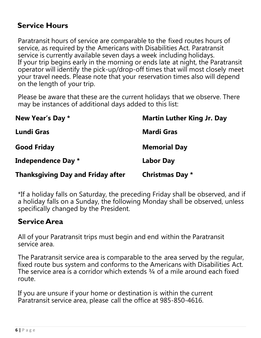#### **Service Hours**

Paratransit hours of service are comparable to the fixed routes hours of service, as required by the Americans with Disabilities Act. Paratransit service is currently available seven days a week including holidays. If your trip begins early in the morning or ends late at night, the Paratransit operator will identify the pick-up/drop-off times that will most closely meet your travel needs. Please note that your reservation times also will depend on the length of your trip.

Please be aware that these are the current holidays that we observe. There may be instances of additional days added to this list:

| New Year's Day *                         | <b>Martin Luther King Jr. Day</b> |
|------------------------------------------|-----------------------------------|
| <b>Lundi Gras</b>                        | <b>Mardi Gras</b>                 |
| <b>Good Friday</b>                       | <b>Memorial Day</b>               |
| Independence Day *                       | <b>Labor Day</b>                  |
| <b>Thanksgiving Day and Friday after</b> | <b>Christmas Day *</b>            |

\*If a holiday falls on Saturday, the preceding Friday shall be observed, and if a holiday falls on a Sunday, the following Monday shall be observed, unless specifically changed by the President.

#### **ServiceArea**

All of your Paratransit trips must begin and end within the Paratransit service area.

The Paratransit service area is comparable to the area served by the regular, fixed route bus system and conforms to the Americans with Disabilities Act. The service area is a corridor which extends 3/4 of a mile around each fixed route.

If you are unsure if your home or destination is within the current Paratransit service area, please call the office at 985-850-4616.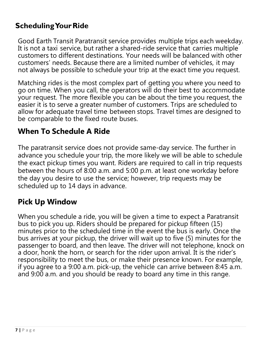#### **Scheduling Your Ride**

Good Earth Transit Paratransit service provides multiple trips each weekday. It is not a taxi service, but rather a shared-ride service that carries multiple customers to different destinations. Your needs will be balanced with other customers' needs. Because there are a limited number of vehicles, it may not always be possible to schedule your trip at the exact time you request.

Matching rides is the most complex part of getting you where you need to go on time. When you call, the operators will do their best to accommodate your request. The more flexible you can be about the time you request, the easier it is to serve a greater number of customers. Trips are scheduled to allow for adequate travel time between stops. Travel times are designed to be comparable to the fixed route buses.

#### <span id="page-9-0"></span>**When To Schedule A Ride**

The paratransit service does not provide same-day service. The further in advance you schedule your trip, the more likely we will be able to schedule the exact pickup times you want. Riders are required to call in trip requests between the hours of 8:00 a.m. and 5:00 p.m. at least one workday before the day you desire to use the service; however, trip requests may be scheduled up to 14 days in advance.

#### **Pick Up Window**

When you schedule a ride, you will be given a time to expect a Paratransit bus to pick you up. Riders should be prepared for pickup fifteen (15) minutes prior to the scheduled time in the event the bus is early. Once the bus arrives at your pickup, the driver will wait up to five (5) minutes for the passenger to board, and then leave. The driver will not telephone, knock on a door, honk the horn, or search for the rider upon arrival. It is the rider's responsibility to meet the bus, or make their presence known. For example, if you agree to a 9:00 a.m. pick-up, the vehicle can arrive between 8:45 a.m. and 9:00 a.m. and you should be ready to board any time in this range.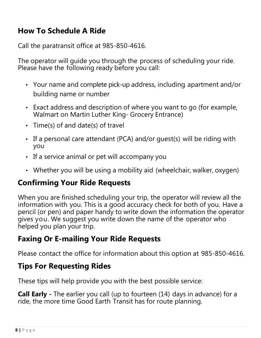#### <span id="page-10-0"></span>**How To Schedule A Ride**

Call the paratransit office at 985-850-4616.

The operator will guide you through the process of scheduling your ride. Please have the following ready before you call:

- Your name and complete pick-up address, including apartment and/or building name or number
- Exact address and description of where you want to go (for example, Walmart on Martin Luther King- Grocery Entrance)
- Time(s) of and date(s) of travel
- If a personal care attendant (PCA) and/or guest(s) will be riding with you
- If a service animal or pet will accompany you
- Whether you will be using a mobility aid (wheelchair, walker, oxygen)

#### <span id="page-10-1"></span>**Confirming Your Ride Requests**

When you are finished scheduling your trip, the operator will review all the information with you. This is a good accuracy check for both of you. Have a pencil (or pen) and paper handy to write down the information the operator gives you. We suggest you write down the name of the operator who helped you plan your trip.

#### **Faxing Or E-mailing Your Ride Requests**

Please contact the office for information about this option at 985-850-4616.

#### **Tips For Requesting Rides**

These tips will help provide you with the best possible service:

**Call Early -** The earlier you call (up to fourteen (14) days in advance) for a ride, the more time Good Earth Transit has for route planning.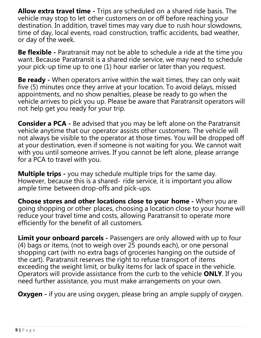**Allow extra travel time -** Trips are scheduled on a shared ride basis. The vehicle may stop to let other customers on or off before reaching your destination. In addition, travel times may vary due to rush hour slowdowns, time of day, local events, road construction, traffic accidents, bad weather, or day of the week.

**Be flexible -** Paratransit may not be able to schedule a ride at the time you want. Because Paratransit is a shared ride service, we may need to schedule your pick-up time up to one (1) hour earlier or later than you request.

**Be ready -** When operators arrive within the wait times, they can only wait five (5) minutes once they arrive at your location. To avoid delays, missed appointments, and no show penalties, please be ready to go when the vehicle arrives to pick you up. Please be aware that Paratransit operators will not help get you ready for your trip.

**Consider a PCA -** Be advised that you may be left alone on the Paratransit vehicle anytime that our operator assists other customers. The vehicle will not always be visible to the operator at those times. You will be dropped off at your destination, even if someone is not waiting for you. We cannot wait with you until someone arrives. If you cannot be left alone, please arrange for a PCA to travel with you.

**Multiple trips -** you may schedule multiple trips for the same day. However, because this is a shared- ride service, it is important you allow ample time between drop-offs and pick-ups.

**Choose stores and other locations close to your home -** When you are going shopping or other places, choosing a location close to your home will reduce your travel time and costs, allowing Paratransit to operate more efficiently for the benefit of all customers.

**Limit your onboard parcels -** Passengers are only allowed with up to four (4) bags or items, (not to weigh over 25 pounds each), or one personal shopping cart (with no extra bags of groceries hanging on the outside of the cart). Paratransit reserves the right to refuse transport of items exceeding the weight limit, or bulky items for lack of space in the vehicle. Operators will provide assistance from the curb to the vehicle **ONLY**. If you need further assistance, you must make arrangements on your own.

**Oxygen** - if you are using oxygen, please bring an ample supply of oxygen.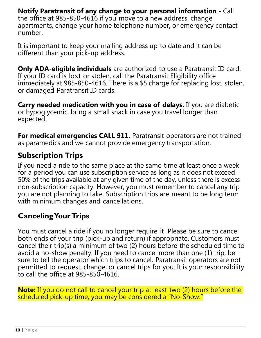**Notify Paratransit of any change to your personal information -** Call the office at 985-850-4616 if you move to a new address, change apartments, change your home telephone number, or emergency contact number.

It is important to keep your mailing address up to date and it can be different than your pick-up address.

<span id="page-12-0"></span>**Only ADA-eligible individuals** are authorized to use a Paratransit ID card. If your ID card is lost or stolen, call the Paratransit Eligibility office immediately at 985-850-4616. There is a \$5 charge for replacing lost, stolen, or damaged Paratransit ID cards.

**Carry needed medication with you in case of delays.** If you are diabetic or hypoglycemic, bring a small snack in case you travel longer than expected.

**For medical emergencies CALL 911.** Paratransit operators are not trained as paramedics and we cannot provide emergency transportation.

#### **Subscription Trips**

If you need a ride to the same place at the same time at least once a week for a period you can use subscription service as long as it does not exceed 50% of the trips available at any given time of the day, unless there is excess non-subscription capacity. However, you must remember to cancel any trip you are not planning to take. Subscription trips are meant to be long term with minimum changes and cancellations.

#### <span id="page-12-1"></span>**CancelingYourTrips**

You must cancel a ride if you no longer require it. Please be sure to cancel both ends of your trip (pick-up and return) if appropriate. Customers must cancel their trip(s) a minimum of two (2) hours before the scheduled time to avoid a no-show penalty. If you need to cancel more than one (1) trip, be sure to tell the operator which trips to cancel. Paratransit operators are not permitted to request, change, or cancel trips for you. It is your responsibility to call the office at 985-850-4616.

<span id="page-12-2"></span>**Note:** If you do not call to cancel your trip at least two (2) hours before the scheduled pick-up time, you may be considered a "No-Show."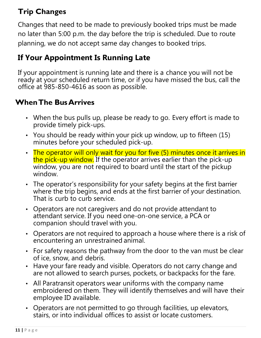# **Trip Changes**

Changes that need to be made to previously booked trips must be made no later than 5:00 p.m. the day before the trip is scheduled. Due to route planning, we do not accept same day changes to booked trips.

#### **If Your Appointment Is Running Late**

If your appointment is running late and there is a chance you will not be ready at your scheduled return time, or if you have missed the bus, call the office at 985-850-4616 as soon as possible.

#### **WhenThe BusArrives**

- When the bus pulls up, please be ready to go. Every effort is made to provide timely pick-ups.
- You should be ready within your pick up window, up to fifteen (15) minutes before your scheduled pick-up.
- The operator will only wait for you for five (5) minutes once it arrives in the pick-up window. If the operator arrives earlier than the pick-up window, you are not required to board until the start of the pickup window.
- The operator's responsibility for your safety begins at the first barrier where the trip begins, and ends at the first barrier of your destination. That is curb to curb service.
- Operators are not caregivers and do not provide attendant to attendant service. If you need one-on-one service, a PCA or companion should travel with you.
- Operators are not required to approach a house where there is a risk of encountering an unrestrained animal.
- For safety reasons the pathway from the door to the van must be clear of ice, snow, and debris.
- Have your fare ready and visible. Operators do not carry change and are not allowed to search purses, pockets, or backpacks for the fare.
- All Paratransit operators wear uniforms with the company name embroidered on them. They will identify themselves and will have their employee ID available.
- Operators are not permitted to go through facilities, up elevators, stairs, or into individual offices to assist or locate customers.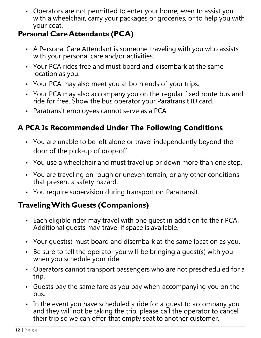• Operators are not permitted to enter your home, even to assist you with a wheelchair, carry your packages or groceries, or to help you with your coat.

#### <span id="page-14-0"></span>**Personal CareAttendants (PCA)**

- A Personal Care Attendant is someone traveling with you who assists with your personal care and/or activities.
- Your PCA rides free and must board and disembark at the same location as you.
- Your PCA may also meet you at both ends of your trips.
- Your PCA may also accompany you on the regular fixed route bus and ride for free. Show the bus operator your Paratransit ID card.
- Paratransit employees cannot serve as a PCA.

# **A PCA Is Recommended Under The Following Conditions**

- You are unable to be left alone or travel independently beyond the door of the pick-up of drop-off.
- <span id="page-14-1"></span>• You use a wheelchair and must travel up or down more than one step.
- You are traveling on rough or uneven terrain, or any other conditions that present a safety hazard.
- You require supervision during transport on Paratransit.

# **TravelingWith Guests (Companions)**

- Each eligible rider may travel with one guest in addition to their PCA. Additional guests may travel if space is available.
- Your guest(s) must board and disembark at the same location as you.
- Be sure to tell the operator you will be bringing a guest(s) with you when you schedule your ride.
- Operators cannot transport passengers who are not prescheduled for a trip.
- Guests pay the same fare as you pay when accompanying you on the bus.
- In the event you have scheduled a ride for a guest to accompany you and they will not be taking the trip, please call the operator to cancel their trip so we can offer that empty seat to another customer.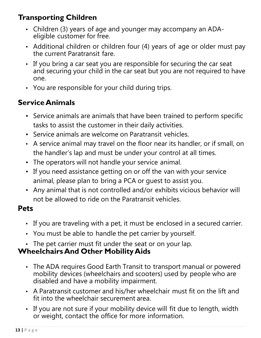#### <span id="page-15-0"></span>**Transporting Children**

- Children (3) years of age and younger may accompany an ADAeligible customer for free.
- Additional children or children four (4) years of age or older must pay the current Paratransit fare.
- If you bring a car seat you are responsible for securing the car seat and securing your child in the car seat but you are not required to have one.
- You are responsible for your child during trips.

#### **ServiceAnimals**

- Service animals are animals that have been trained to perform specific tasks to assist the customer in their daily activities.
- Service animals are welcome on Paratransit vehicles.
- A service animal may travel on the floor near its handler, or if small, on the handler's lap and must be under your control at all times.
- The operators will not handle your service animal.
- If you need assistance getting on or off the van with your service animal, please plan to bring a PCA or guest to assist you.
- Any animal that is not controlled and/or exhibits vicious behavior will not be allowed to ride on the Paratransit vehicles.

#### <span id="page-15-1"></span>**Pets**

- If you are traveling with a pet, it must be enclosed in a secured carrier.
- You must be able to handle the pet carrier by yourself.
- The pet carrier must fit under the seat or on your lap.

#### **WheelchairsAnd Other MobilityAids**

- The ADA requires Good Earth Transit to transport manual or powered mobility devices (wheelchairs and scooters) used by people who are disabled and have a mobility impairment.
- A Paratransit customer and his/her wheelchair must fit on the lift and fit into the wheelchair securement area.
- If you are not sure if your mobility device will fit due to length, width or weight, contact the office for more information.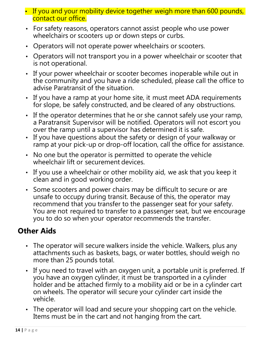- If you and your mobility device together weigh more than 600 pounds, contact our office.
- For safety reasons, operators cannot assist people who use power wheelchairs or scooters up or down steps or curbs.
- Operators will not operate power wheelchairs or scooters.
- Operators will not transport you in a power wheelchair or scooter that is not operational.
- If your power wheelchair or scooter becomes inoperable while out in the community and you have a ride scheduled, please call the office to advise Paratransit of the situation.
- If you have a ramp at your home site, it must meet ADA requirements for slope, be safely constructed, and be cleared of any obstructions.
- If the operator determines that he or she cannot safely use your ramp, a Paratransit Supervisor will be notified. Operators will not escort you over the ramp until a supervisor has determined it is safe.
- <span id="page-16-0"></span>• If you have questions about the safety or design of your walkway or ramp at your pick-up or drop-off location, call the office for assistance.
- No one but the operator is permitted to operate the vehicle wheelchair lift or securement devices.
- If you use a wheelchair or other mobility aid, we ask that you keep it clean and in good working order.
- Some scooters and power chairs may be difficult to secure or are unsafe to occupy during transit. Because of this, the operator may recommend that you transfer to the passenger seat for your safety. You are not required to transfer to a passenger seat, but we encourage you to do so when your operator recommends the transfer.

#### **Other Aids**

- The operator will secure walkers inside the vehicle. Walkers, plus any attachments such as baskets, bags, or water bottles, should weigh no more than 25 pounds total.
- <span id="page-16-1"></span>• If you need to travel with an oxygen unit, a portable unit is preferred. If you have an oxygen cylinder, it must be transported in a cylinder holder and be attached firmly to a mobility aid or be in a cylinder cart on wheels. The operator will secure your cylinder cart inside the vehicle.
- The operator will load and secure your shopping cart on the vehicle. Items must be in the cart and not hanging from the cart.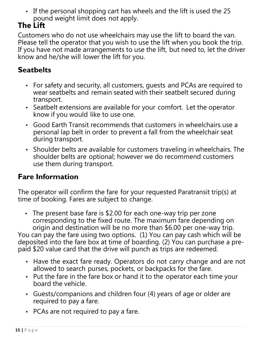• If the personal shopping cart has wheels and the lift is used the 25 pound weight limit does not apply.

#### **The Lift**

Customers who do not use wheelchairs may use the lift to board the van. Please tell the operator that you wish to use the lift when you book the trip. If you have not made arrangements to use the lift, but need to, let the driver know and he/she will lower the lift for you.

#### **Seatbelts**

- For safety and security, all customers, guests and PCAs are required to wear seatbelts and remain seated with their seatbelt secured during transport.
- <span id="page-17-0"></span>• Seatbelt extensions are available for your comfort. Let the operator know if you would like to use one.
- Good Earth Transit recommends that customers in wheelchairs use a personal lap belt in order to prevent a fall from the wheelchair seat during transport.
- Shoulder belts are available for customers traveling in wheelchairs. The shoulder belts are optional; however we do recommend customers use them during transport.

#### **Fare Information**

The operator will confirm the fare for your requested Paratransit trip(s) at time of booking. Fares are subject to change.

• The present base fare is \$2.00 for each one-way trip per zone corresponding to the fixed route. The maximum fare depending on origin and destination will be no more than \$6.00 per one-way trip. You can pay the fare using two options. (1) You can pay cash which will be

deposited into the fare box at time of boarding. (2) You can purchase a prepaid \$20 value card that the drive will punch as trips are redeemed.

- Have the exact fare ready. Operators do not carry change and are not allowed to search purses, pockets, or backpacks for the fare.
- <span id="page-17-1"></span>• Put the fare in the fare box or hand it to the operator each time your board the vehicle.
- Guests/companions and children four (4) years of age or older are required to pay a fare.
- PCAs are not required to pay a fare.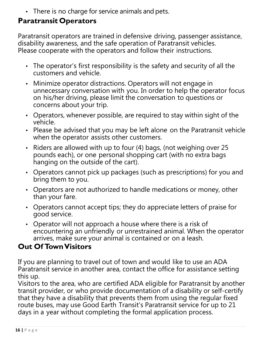• There is no charge for service animals and pets.

#### **Paratransit Operators**

Paratransit operators are trained in defensive driving, passenger assistance, disability awareness, and the safe operation of Paratransit vehicles. Please cooperate with the operators and follow their instructions.

- The operator's first responsibility is the safety and security of all the customers and vehicle.
- Minimize operator distractions. Operators will not engage in unnecessary conversation with you. In order to help the operator focus on his/her driving, please limit the conversation to questions or concerns about your trip.
- Operators, whenever possible, are required to stay within sight of the vehicle.
- Please be advised that you may be left alone on the Paratransit vehicle when the operator assists other customers.
- Riders are allowed with up to four (4) bags, (not weighing over 25 pounds each), or one personal shopping cart (with no extra bags hanging on the outside of the cart).
- Operators cannot pick up packages (such as prescriptions) for you and bring them to you.
- Operators are not authorized to handle medications or money, other than your fare.
- Operators cannot accept tips; they do appreciate letters of praise for good service.
- Operator will not approach a house where there is a risk of encountering an unfriendly or unrestrained animal. When the operator arrives, make sure your animal is contained or on a leash.

#### <span id="page-18-0"></span>**Out Of TownVisitors**

If you are planning to travel out of town and would like to use an ADA Paratransit service in another area, contact the office for assistance setting this up.

Visitors to the area, who are certified ADA eligible for Paratransit by another transit provider, or who provide documentation of a disability or self-certify that they have a disability that prevents them from using the regular fixed route buses, may use Good Earth Transit's Paratransit service for up to 21 days in a year without completing the formal application process.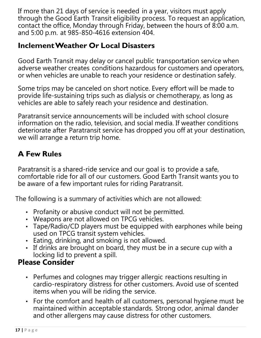If more than 21 days of service is needed in a year, visitors must apply through the Good Earth Transit eligibility process. To request an application, contact the office, Monday through Friday, between the hours of 8:00 a.m. and 5:00 p.m. at 985-850-4616 extension 404.

#### **InclementWeather Or Local Disasters**

<span id="page-19-0"></span>Good Earth Transit may delay or cancel public transportation service when adverse weather creates conditions hazardous for customers and operators, or when vehicles are unable to reach your residence or destination safely.

Some trips may be canceled on short notice. Every effort will be made to provide life-sustaining trips such as dialysis or chemotherapy, as long as vehicles are able to safely reach your residence and destination.

Paratransit service announcements will be included with school closure information on the radio, television, and social media. If weather conditions deteriorate after Paratransit service has dropped you off at your destination, we will arrange a return trip home.

# **A Few Rules**

Paratransit is a shared-ride service and our goal is to provide a safe, comfortable ride for all of our customers. Good Earth Transit wants you to be aware of a few important rules for riding Paratransit.

The following is a summary of activities which are not allowed:

- Profanity or abusive conduct will not be permitted.
- Weapons are not allowed on TPCG vehicles.
- Tape/Radio/CD players must be equipped with earphones while being used on TPCG transit system vehicles.
- Eating, drinking, and smoking is not allowed.
- If drinks are brought on board, they must be in a secure cup with a locking lid to prevent a spill.

# <span id="page-19-1"></span>**Please Consider**

- Perfumes and colognes may trigger allergic reactions resulting in cardio-respiratory distress for other customers. Avoid use of scented items when you will be riding the service.
- For the comfort and health of all customers, personal hygiene must be maintained within acceptable standards. Strong odor, animal dander and other allergens may cause distress for other customers.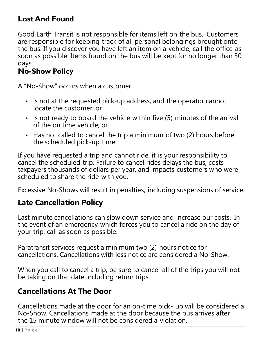#### **Lost And Found**

Good Earth Transit is not responsible for items left on the bus. Customers are responsible for keeping track of all personal belongings brought onto the bus. If you discover you have left an item on a vehicle, call the office as soon as possible. Items found on the bus will be kept for no longer than 30 days.

#### <span id="page-20-0"></span>**No-Show Policy**

A "No-Show" occurs when a customer:

- is not at the requested pick-up address, and the operator cannot locate the customer; or
- is not ready to board the vehicle within five (5) minutes of the arrival of the on time vehicle; or
- Has not called to cancel the trip a minimum of two (2) hours before the scheduled pick-up time.

If you have requested a trip and cannot ride, it is your responsibility to cancel the scheduled trip. Failure to cancel rides delays the bus, costs taxpayers thousands of dollars per year, and impacts customers who were scheduled to share the ride with you.

Excessive No-Shows will result in penalties, including suspensions of service.

#### **Late Cancellation Policy**

Last minute cancellations can slow down service and increase our costs. In the event of an emergency which forces you to cancel a ride on the day of your trip, call as soon as possible.

<span id="page-20-1"></span>Paratransit services request a minimum two (2) hours notice for cancellations. Cancellations with less notice are considered a No-Show.

When you call to cancel a trip, be sure to cancel all of the trips you will not be taking on that date including return trips.

#### **Cancellations At The Door**

Cancellations made at the door for an on-time pick- up will be considered a No-Show. Cancellations made at the door because the bus arrives after the 15 minute window will not be considered a violation.